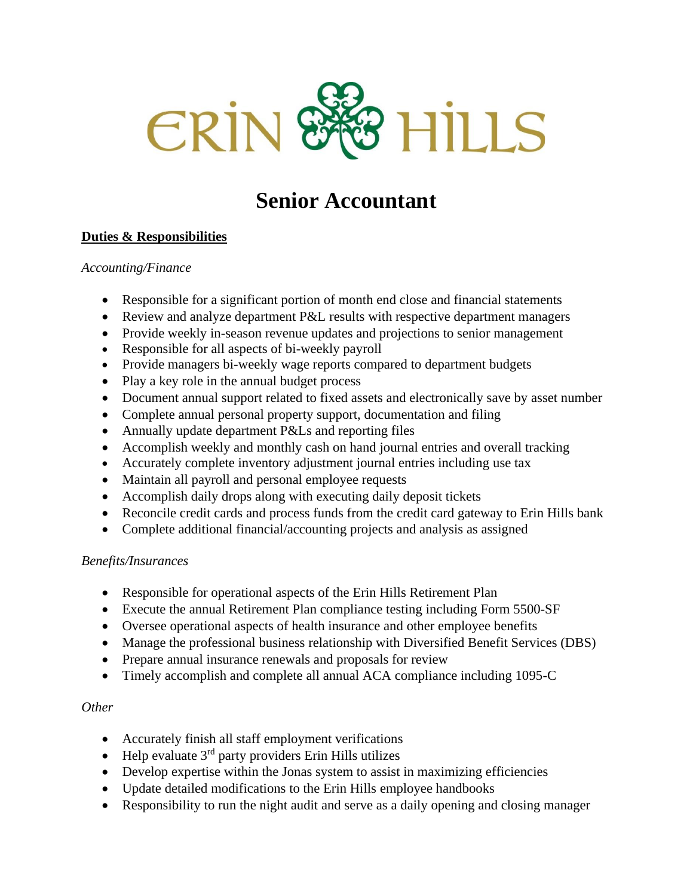

# **Senior Accountant**

## **Duties & Responsibilities**

### *Accounting/Finance*

- Responsible for a significant portion of month end close and financial statements
- Review and analyze department P&L results with respective department managers
- Provide weekly in-season revenue updates and projections to senior management
- Responsible for all aspects of bi-weekly payroll
- Provide managers bi-weekly wage reports compared to department budgets
- Play a key role in the annual budget process
- Document annual support related to fixed assets and electronically save by asset number
- Complete annual personal property support, documentation and filing
- Annually update department P&Ls and reporting files
- Accomplish weekly and monthly cash on hand journal entries and overall tracking
- Accurately complete inventory adjustment journal entries including use tax
- Maintain all payroll and personal employee requests
- Accomplish daily drops along with executing daily deposit tickets
- Reconcile credit cards and process funds from the credit card gateway to Erin Hills bank
- Complete additional financial/accounting projects and analysis as assigned

#### *Benefits/Insurances*

- Responsible for operational aspects of the Erin Hills Retirement Plan
- Execute the annual Retirement Plan compliance testing including Form 5500-SF
- Oversee operational aspects of health insurance and other employee benefits
- Manage the professional business relationship with Diversified Benefit Services (DBS)
- Prepare annual insurance renewals and proposals for review
- Timely accomplish and complete all annual ACA compliance including 1095-C

#### *Other*

- Accurately finish all staff employment verifications
- Help evaluate  $3<sup>rd</sup>$  party providers Erin Hills utilizes
- Develop expertise within the Jonas system to assist in maximizing efficiencies
- Update detailed modifications to the Erin Hills employee handbooks
- Responsibility to run the night audit and serve as a daily opening and closing manager